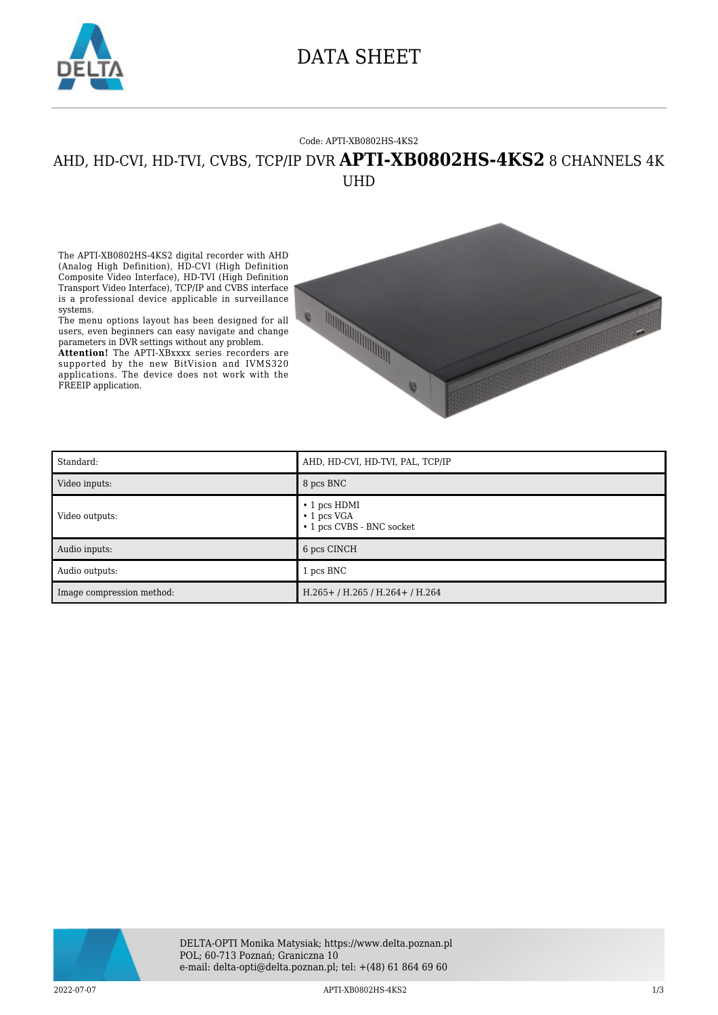

### DATA SHEET

#### Code: APTI-XB0802HS-4KS2

### AHD, HD-CVI, HD-TVI, CVBS, TCP/IP DVR **APTI-XB0802HS-4KS2** 8 CHANNELS 4K UHD

The APTI-XB0802HS-4KS2 digital recorder with AHD (Analog High Definition), HD-CVI (High Definition Composite Video Interface), HD-TVI (High Definition Transport Video Interface), TCP/IP and CVBS interface is a professional device applicable in surveillance systems.

The menu options layout has been designed for all users, even beginners can easy navigate and change parameters in DVR settings without any problem.

**Attention!** The APTI-XBxxxx series recorders are supported by the new BitVision and IVMS320 applications. The device does not work with the FREEIP application.



| Standard:                 | AHD, HD-CVI, HD-TVI, PAL, TCP/IP                                     |
|---------------------------|----------------------------------------------------------------------|
| Video inputs:             | 8 pcs BNC                                                            |
| Video outputs:            | $\cdot$ 1 pcs HDMI<br>$\cdot$ 1 pcs VGA<br>• 1 pcs CVBS - BNC socket |
| Audio inputs:             | 6 pcs CINCH                                                          |
| Audio outputs:            | 1 pcs BNC                                                            |
| Image compression method: | $H.265+ / H.265 / H.264+ / H.264$                                    |

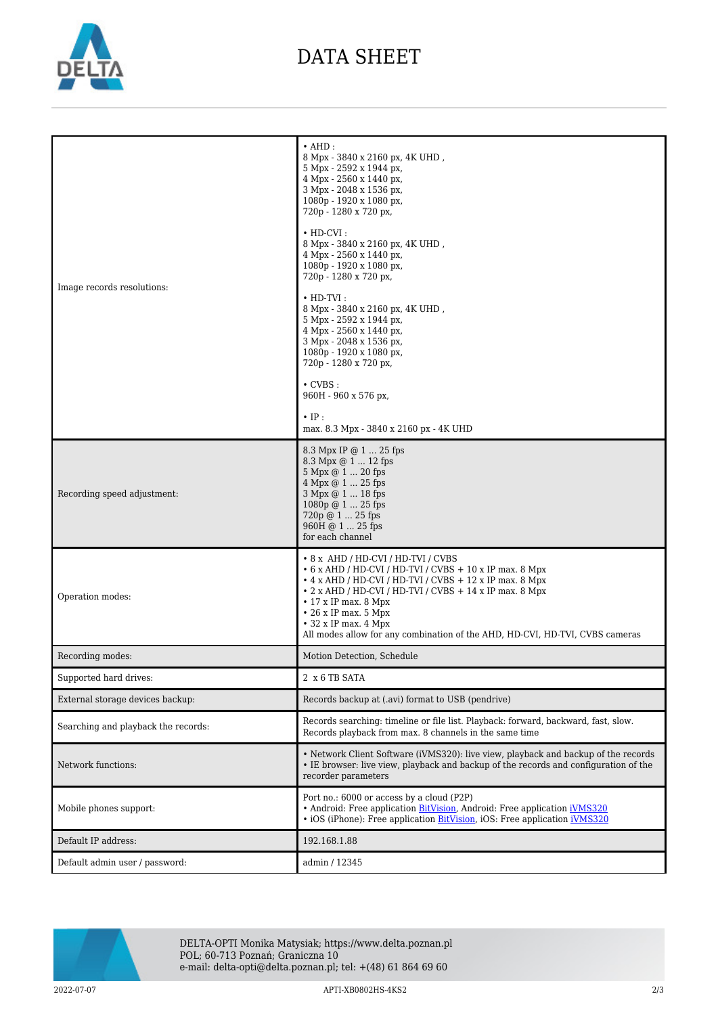

## DATA SHEET

| Image records resolutions:          | $\cdot$ AHD:<br>8 Mpx - 3840 x 2160 px, 4K UHD,<br>5 Mpx - 2592 x 1944 px,<br>4 Mpx - 2560 x 1440 px,<br>3 Mpx - 2048 x 1536 px,<br>1080p - 1920 x 1080 px,<br>720p - 1280 x 720 px,<br>$\cdot$ HD-CVI:<br>8 Mpx - 3840 x 2160 px, 4K UHD,<br>4 Mpx - 2560 x 1440 px,<br>1080p - 1920 x 1080 px,<br>720p - 1280 x 720 px,<br>$\cdot$ HD-TVI:<br>8 Mpx - 3840 x 2160 px, 4K UHD,<br>5 Mpx - 2592 x 1944 px,<br>4 Mpx - 2560 x 1440 px,<br>3 Mpx - 2048 x 1536 px,<br>1080p - 1920 x 1080 px,<br>720p - 1280 x 720 px,<br>$\cdot$ CVBS :<br>960H - 960 x 576 px,<br>$\cdot$ IP:<br>max. 8.3 Mpx - 3840 x 2160 px - 4K UHD |
|-------------------------------------|-------------------------------------------------------------------------------------------------------------------------------------------------------------------------------------------------------------------------------------------------------------------------------------------------------------------------------------------------------------------------------------------------------------------------------------------------------------------------------------------------------------------------------------------------------------------------------------------------------------------------|
| Recording speed adjustment:         | 8.3 Mpx IP @ 1  25 fps<br>8.3 Mpx @ 1  12 fps<br>5 Mpx @ 1  20 fps<br>$4$ Mpx $@$ $1 \dots 25$ fps<br>3 Mpx @ 1  18 fps<br>$1080p @ 1  25$ fps<br>720p @ 1  25 fps<br>960H @ 1  25 fps<br>for each channel                                                                                                                                                                                                                                                                                                                                                                                                              |
| Operation modes:                    | • 8 x AHD / HD-CVI / HD-TVI / CVBS<br>$\cdot$ 6 x AHD / HD-CVI / HD-TVI / CVBS + 10 x IP max. 8 Mpx<br>$\cdot$ 4 x AHD / HD-CVI / HD-TVI / CVBS + 12 x IP max. 8 Mpx<br>• 2 x AHD / HD-CVI / HD-TVI / CVBS + 14 x IP max. 8 Mpx<br>$\cdot$ 17 x IP max. 8 Mpx<br>$\cdot$ 26 x IP max. 5 Mpx<br>$\cdot$ 32 x IP max. 4 Mpx<br>All modes allow for any combination of the AHD, HD-CVI, HD-TVI, CVBS cameras                                                                                                                                                                                                               |
| Recording modes:                    | Motion Detection, Schedule                                                                                                                                                                                                                                                                                                                                                                                                                                                                                                                                                                                              |
| Supported hard drives:              | 2 x 6 TB SATA                                                                                                                                                                                                                                                                                                                                                                                                                                                                                                                                                                                                           |
| External storage devices backup:    | Records backup at (.avi) format to USB (pendrive)                                                                                                                                                                                                                                                                                                                                                                                                                                                                                                                                                                       |
| Searching and playback the records: | Records searching: timeline or file list. Playback: forward, backward, fast, slow.<br>Records playback from max. 8 channels in the same time                                                                                                                                                                                                                                                                                                                                                                                                                                                                            |
| Network functions:                  | • Network Client Software (iVMS320): live view, playback and backup of the records<br>• IE browser: live view, playback and backup of the records and configuration of the<br>recorder parameters                                                                                                                                                                                                                                                                                                                                                                                                                       |
| Mobile phones support:              | Port no.: 6000 or access by a cloud (P2P)<br>• Android: Free application BitVision, Android: Free application iVMS320<br>• iOS (iPhone): Free application BitVision, iOS: Free application iVMS320                                                                                                                                                                                                                                                                                                                                                                                                                      |
| Default IP address:                 | 192.168.1.88                                                                                                                                                                                                                                                                                                                                                                                                                                                                                                                                                                                                            |
| Default admin user / password:      | admin / 12345                                                                                                                                                                                                                                                                                                                                                                                                                                                                                                                                                                                                           |



DELTA-OPTI Monika Matysiak; https://www.delta.poznan.pl POL; 60-713 Poznań; Graniczna 10 e-mail: delta-opti@delta.poznan.pl; tel: +(48) 61 864 69 60